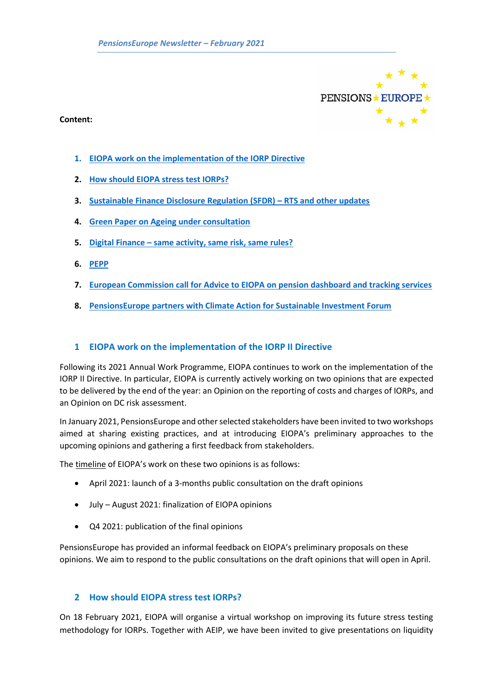

#### **Content:**

- **1. [EIOPA work on the implementation of the IORP Directive](#page-0-0)**
- **2. [How should EIOPA stress test IORPs?](#page-0-1)**
- **3. [Sustainable Finance Disclosure Regulation \(SFDR\)](#page-1-0) – RTS and other updates**
- **4. [Green Paper on Ageing under consultation](#page-2-0)**
- **5. Digital Finance – [same activity, same risk, same rules?](#page-2-1)**
- **6. [PEPP](#page-3-0)**
- **7. [European Commission call for Advice to EIOPA on pension dashboard and tracking services](#page-4-0)**
- **8. [PensionsEurope partners with Climate Action for Sustainable Investment Forum](#page-5-0)**

### <span id="page-0-0"></span>**1 EIOPA work on the implementation of the IORP II Directive**

Following its 2021 Annual Work Programme, EIOPA continues to work on the implementation of the IORP II Directive. In particular, EIOPA is currently actively working on two opinions that are expected to be delivered by the end of the year: an Opinion on the reporting of costs and charges of IORPs, and an Opinion on DC risk assessment.

In January 2021, PensionsEurope and other selected stakeholders have been invited to two workshops aimed at sharing existing practices, and at introducing EIOPA's preliminary approaches to the upcoming opinions and gathering a first feedback from stakeholders.

The timeline of EIOPA's work on these two opinions is as follows:

- April 2021: launch of a 3-months public consultation on the draft opinions
- July August 2021: finalization of EIOPA opinions
- Q4 2021: publication of the final opinions

PensionsEurope has provided an informal feedback on EIOPA's preliminary proposals on these opinions. We aim to respond to the public consultations on the draft opinions that will open in April.

## <span id="page-0-1"></span>**2 How should EIOPA stress test IORPs?**

On 18 February 2021, EIOPA will organise a virtual workshop on improving its future stress testing methodology for IORPs. Together with AEIP, we have been invited to give presentations on liquidity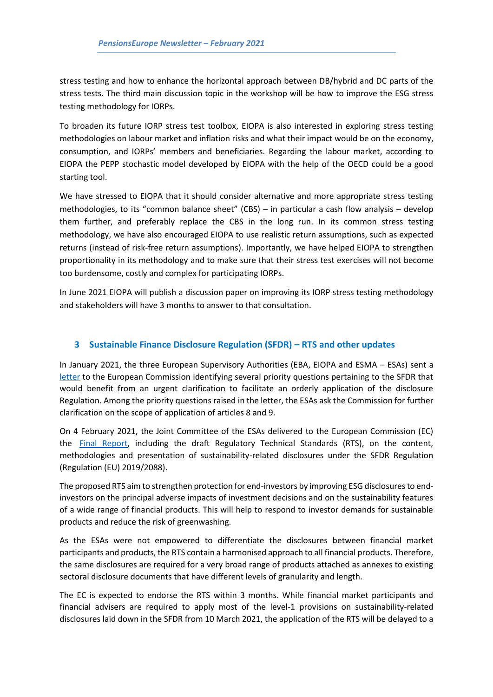stress testing and how to enhance the horizontal approach between DB/hybrid and DC parts of the stress tests. The third main discussion topic in the workshop will be how to improve the ESG stress testing methodology for IORPs.

To broaden its future IORP stress test toolbox, EIOPA is also interested in exploring stress testing methodologies on labour market and inflation risks and what their impact would be on the economy, consumption, and IORPs' members and beneficiaries. Regarding the labour market, according to EIOPA the PEPP stochastic model developed by EIOPA with the help of the OECD could be a good starting tool.

We have stressed to EIOPA that it should consider alternative and more appropriate stress testing methodologies, to its "common balance sheet" (CBS) – in particular a cash flow analysis – develop them further, and preferably replace the CBS in the long run. In its common stress testing methodology, we have also encouraged EIOPA to use realistic return assumptions, such as expected returns (instead of risk-free return assumptions). Importantly, we have helped EIOPA to strengthen proportionality in its methodology and to make sure that their stress test exercises will not become too burdensome, costly and complex for participating IORPs.

In June 2021 EIOPA will publish a discussion paper on improving its IORP stress testing methodology and stakeholders will have 3 months to answer to that consultation.

## <span id="page-1-0"></span>**3 Sustainable Finance Disclosure Regulation (SFDR) – RTS and other updates**

In January 2021, the three European Supervisory Authorities (EBA, EIOPA and ESMA – ESAs) sent a [letter](https://www.esma.europa.eu/sites/default/files/library/jc_2021_02_letter_to_eu_commission_on_priority_issues_relating_to_sfdr_application.pdf) to the European Commission identifying several priority questions pertaining to the SFDR that would benefit from an urgent clarification to facilitate an orderly application of the disclosure Regulation. Among the priority questions raised in the letter, the ESAs ask the Commission for further clarification on the scope of application of articles 8 and 9.

On 4 February 2021, the Joint Committee of the ESAs delivered to the European Commission (EC) the [Final Report,](https://www.esma.europa.eu/sites/default/files/library/jc_2021_03_joint_esas_final_report_on_rts_under_sfdr.pdf) including the draft Regulatory Technical Standards (RTS), on the content, methodologies and presentation of sustainability-related disclosures under the SFDR Regulation (Regulation (EU) 2019/2088).

The proposed RTS aim to strengthen protection for end-investors by improving ESG disclosures to endinvestors on the principal adverse impacts of investment decisions and on the sustainability features of a wide range of financial products. This will help to respond to investor demands for sustainable products and reduce the risk of greenwashing.

As the ESAs were not empowered to differentiate the disclosures between financial market participants and products, the RTS contain a harmonised approach to all financial products. Therefore, the same disclosures are required for a very broad range of products attached as annexes to existing sectoral disclosure documents that have different levels of granularity and length.

The EC is expected to endorse the RTS within 3 months. While financial market participants and financial advisers are required to apply most of the level-1 provisions on sustainability-related disclosures laid down in the SFDR from 10 March 2021, the application of the RTS will be delayed to a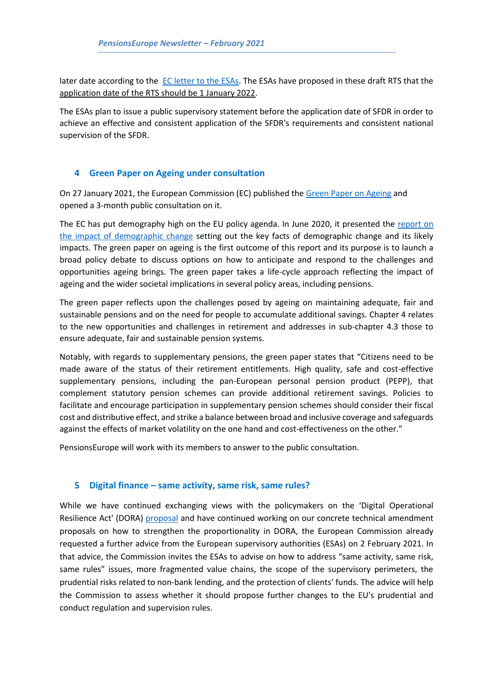later date according to the [EC letter to the ESAs.](https://www.esma.europa.eu/sites/default/files/library/eba_bs_2020_633_letter_to_the_esas_on_sfdr.pdf) The ESAs have proposed in these draft RTS that the application date of the RTS should be 1 January 2022.

The ESAs plan to issue a public supervisory statement before the application date of SFDR in order to achieve an effective and consistent application of the SFDR's requirements and consistent national supervision of the SFDR.

### <span id="page-2-0"></span>**4 Green Paper on Ageing under consultation**

On 27 January 2021, the European Commission (EC) published th[e Green Paper on Ageing](https://ec.europa.eu/commission/presscorner/detail/en/ip_21_191) and opened a 3-month public consultation on it.

The EC has put demography high on the EU policy agenda. In June 2020, it presented the [report](https://ec.europa.eu/info/strategy/priorities-2019-2024/new-push-european-democracy/impact-demographic-change-europe) on [the impact of demographic change](https://ec.europa.eu/info/strategy/priorities-2019-2024/new-push-european-democracy/impact-demographic-change-europe) setting out the key facts of demographic change and its likely impacts. The green paper on ageing is the first outcome of this report and its purpose is to launch a broad policy debate to discuss options on how to anticipate and respond to the challenges and opportunities ageing brings. The green paper takes a life-cycle approach reflecting the impact of ageing and the wider societal implications in several policy areas, including pensions.

The green paper reflects upon the challenges posed by ageing on maintaining adequate, fair and sustainable pensions and on the need for people to accumulate additional savings. Chapter 4 relates to the new opportunities and challenges in retirement and addresses in sub-chapter 4.3 those to ensure adequate, fair and sustainable pension systems.

Notably, with regards to supplementary pensions, the green paper states that "Citizens need to be made aware of the status of their retirement entitlements. High quality, safe and cost-effective supplementary pensions, including the pan-European personal pension product (PEPP), that complement statutory pension schemes can provide additional retirement savings. Policies to facilitate and encourage participation in supplementary pension schemes should consider their fiscal cost and distributive effect, and strike a balance between broad and inclusive coverage and safeguards against the effects of market volatility on the one hand and cost-effectiveness on the other."

PensionsEurope will work with its members to answer to the public consultation.

#### <span id="page-2-1"></span>**5 Digital finance – same activity, same risk, same rules?**

While we have continued exchanging views with the policymakers on the 'Digital Operational Resilience Act' (DORA) [proposal](https://eur-lex.europa.eu/legal-content/EN/TXT/?uri=CELEX%3A52020PC0595) and have continued working on our concrete technical amendment proposals on how to strengthen the proportionality in DORA, the European Commission already requested a further advice from the European supervisory authorities (ESAs) on 2 February 2021. In that advice, the Commission invites the ESAs to advise on how to address "same activity, same risk, same rules" issues, more fragmented value chains, the scope of the supervisory perimeters, the prudential risks related to non-bank lending, and the protection of clients' funds. The advice will help the Commission to assess whether it should propose further changes to the EU's prudential and conduct regulation and supervision rules.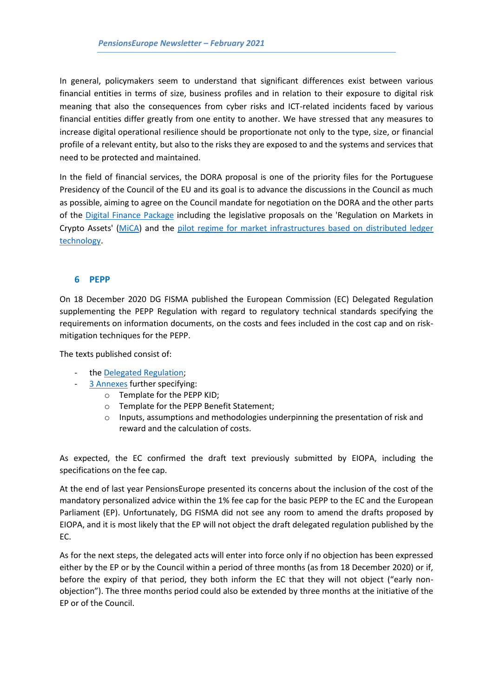In general, policymakers seem to understand that significant differences exist between various financial entities in terms of size, business profiles and in relation to their exposure to digital risk meaning that also the consequences from cyber risks and ICT-related incidents faced by various financial entities differ greatly from one entity to another. We have stressed that any measures to increase digital operational resilience should be proportionate not only to the type, size, or financial profile of a relevant entity, but also to the risks they are exposed to and the systems and services that need to be protected and maintained.

In the field of financial services, the DORA proposal is one of the priority files for the Portuguese Presidency of the Council of the EU and its goal is to advance the discussions in the Council as much as possible, aiming to agree on the Council mandate for negotiation on the DORA and the other parts of the [Digital Finance Package](https://ec.europa.eu/info/publications/200924-digital-finance-proposals_en) including the legislative proposals on the 'Regulation on Markets in Crypto Assets' [\(MiCA\)](https://eur-lex.europa.eu/legal-content/EN/TXT/?uri=CELEX%3A52020PC0593) and the [pilot regime for market infrastructures based on distributed ledger](https://eur-lex.europa.eu/legal-content/EN/TXT/?uri=CELEX:52020PC0594)  [technology.](https://eur-lex.europa.eu/legal-content/EN/TXT/?uri=CELEX:52020PC0594)

#### <span id="page-3-0"></span>**6 PEPP**

On 18 December 2020 DG FISMA published the European Commission (EC) Delegated Regulation supplementing the PEPP Regulation with regard to regulatory technical standards specifying the requirements on information documents, on the costs and fees included in the cost cap and on riskmitigation techniques for the PEPP.

The texts published consist of:

- th[e Delegated Regulation;](https://ec.europa.eu/finance/docs/level-2-measures/pepp-rts-2020-9073_en.pdf)
	- [3 Annexes](https://ec.europa.eu/finance/docs/level-2-measures/pepp-rts-2020-9073-annex_en.pdf) further specifying:
		- o Template for the PEPP KID;
		- o Template for the PEPP Benefit Statement;
		- o Inputs, assumptions and methodologies underpinning the presentation of risk and reward and the calculation of costs.

As expected, the EC confirmed the draft text previously submitted by EIOPA, including the specifications on the fee cap.

At the end of last year PensionsEurope presented its concerns about the inclusion of the cost of the mandatory personalized advice within the 1% fee cap for the basic PEPP to the EC and the European Parliament (EP). Unfortunately, DG FISMA did not see any room to amend the drafts proposed by EIOPA, and it is most likely that the EP will not object the draft delegated regulation published by the EC.

As for the next steps, the delegated acts will enter into force only if no objection has been expressed either by the EP or by the Council within a period of three months (as from 18 December 2020) or if, before the expiry of that period, they both inform the EC that they will not object ("early nonobjection"). The three months period could also be extended by three months at the initiative of the EP or of the Council.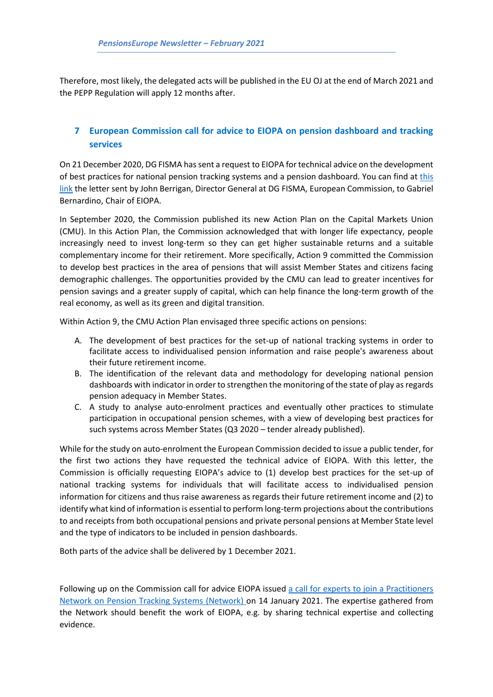Therefore, most likely, the delegated acts will be published in the EU OJ at the end of March 2021 and the PEPP Regulation will apply 12 months after.

# <span id="page-4-0"></span>**7 European Commission call for advice to EIOPA on pension dashboard and tracking services**

On 21 December 2020, DG FISMA has sent a request to EIOPA for technical advice on the development of best practices for national pension tracking systems and a pension dashboard. You can find at [this](https://ec.europa.eu/info/sites/info/files/business_economy_euro/banking_and_finance/documents/201221-request-eiopa-pension-tools_en.pdf)  [link](https://ec.europa.eu/info/sites/info/files/business_economy_euro/banking_and_finance/documents/201221-request-eiopa-pension-tools_en.pdf) the letter sent by John Berrigan, Director General at DG FISMA, European Commission, to Gabriel Bernardino, Chair of EIOPA.

In September 2020, the Commission published its new Action Plan on the Capital Markets Union (CMU). In this Action Plan, the Commission acknowledged that with longer life expectancy, people increasingly need to invest long-term so they can get higher sustainable returns and a suitable complementary income for their retirement. More specifically, Action 9 committed the Commission to develop best practices in the area of pensions that will assist Member States and citizens facing demographic challenges. The opportunities provided by the CMU can lead to greater incentives for pension savings and a greater supply of capital, which can help finance the long-term growth of the real economy, as well as its green and digital transition.

Within Action 9, the CMU Action Plan envisaged three specific actions on pensions:

- A. The development of best practices for the set-up of national tracking systems in order to facilitate access to individualised pension information and raise people's awareness about their future retirement income.
- B. The identification of the relevant data and methodology for developing national pension dashboards with indicator in order to strengthen the monitoring of the state of play as regards pension adequacy in Member States.
- C. A study to analyse auto-enrolment practices and eventually other practices to stimulate participation in occupational pension schemes, with a view of developing best practices for such systems across Member States (Q3 2020 – tender already published).

While for the study on auto-enrolment the European Commission decided to issue a public tender, for the first two actions they have requested the technical advice of EIOPA. With this letter, the Commission is officially requesting EIOPA's advice to (1) develop best practices for the set-up of national tracking systems for individuals that will facilitate access to individualised pension information for citizens and thus raise awareness as regards their future retirement income and (2) to identify what kind of information is essential to perform long-term projections about the contributions to and receipts from both occupational pensions and private personal pensions at Member State level and the type of indicators to be included in pension dashboards.

Both parts of the advice shall be delivered by 1 December 2021.

Following up on the Commission call for advice EIOPA issued [a call for experts to join a Practitioners](https://www.eiopa.europa.eu/content/call-experts-join-network-pension_en)  [Network on Pension Tracking Systems \(Network\)](https://www.eiopa.europa.eu/content/call-experts-join-network-pension_en) on 14 January 2021. The expertise gathered from the Network should benefit the work of EIOPA, e.g. by sharing technical expertise and collecting evidence.